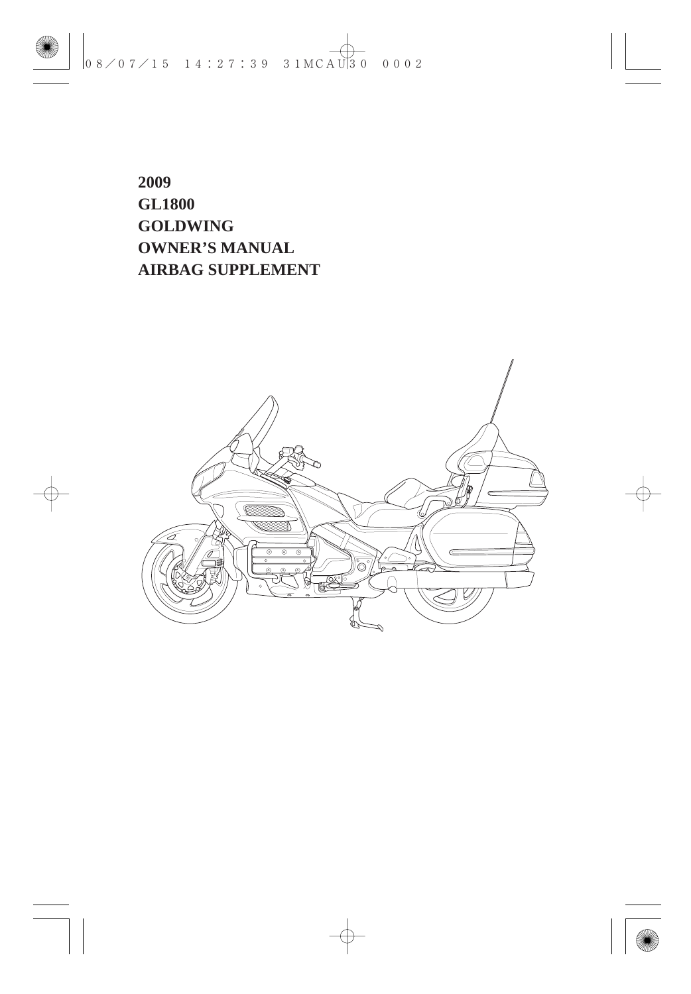**2009 GL1800 GOLDWING OWNER'S MANUAL AIRBAG SUPPLEMENT**

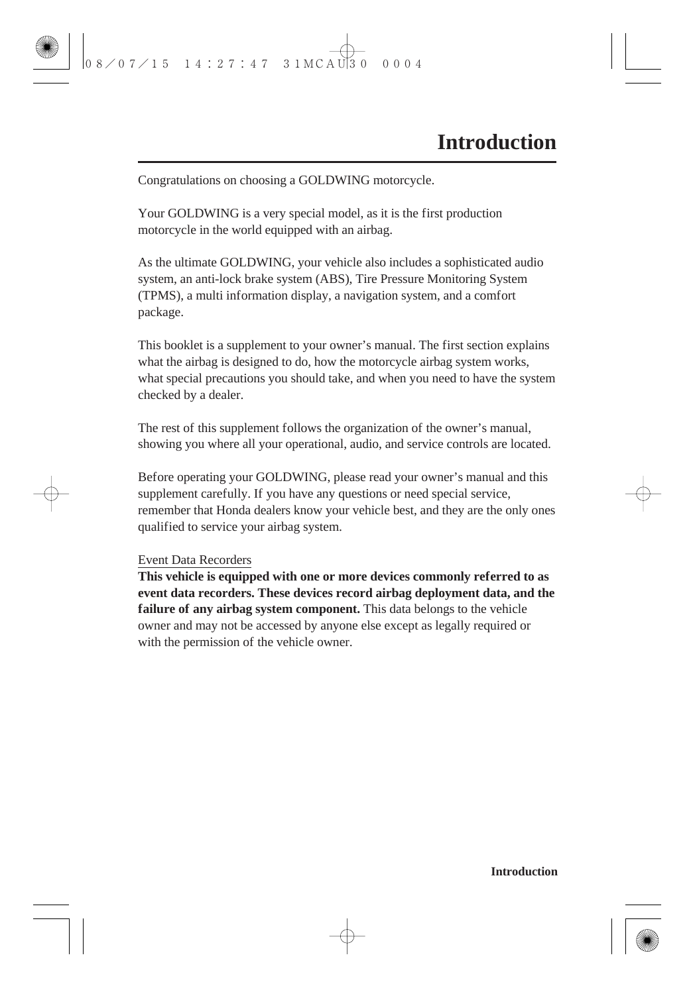Congratulations on choosing a GOLDWING motorcycle.

Your GOLDWING is a very special model, as it is the first production motorcycle in the world equipped with an airbag.

As the ultimate GOLDWING, your vehicle also includes a sophisticated audio system, an anti-lock brake system (ABS), Tire Pressure Monitoring System (TPMS), a multi information display, a navigation system, and a comfort package.

This booklet is a supplement to your owner's manual. The first section explains what the airbag is designed to do, how the motorcycle airbag system works, what special precautions you should take, and when you need to have the system checked by a dealer.

The rest of this supplement follows the organization of the owner's manual, showing you where all your operational, audio, and service controls are located.

Before operating your GOLDWING, please read your owner's manual and this supplement carefully. If you have any questions or need special service, remember that Honda dealers know your vehicle best, and they are the only ones qualified to service your airbag system.

#### Event Data Recorders

**This vehicle is equipped with one or more devices commonly referred to as event data recorders. These devices record airbag deployment data, and the failure of any airbag system component.** This data belongs to the vehicle owner and may not be accessed by anyone else except as legally required or with the permission of the vehicle owner.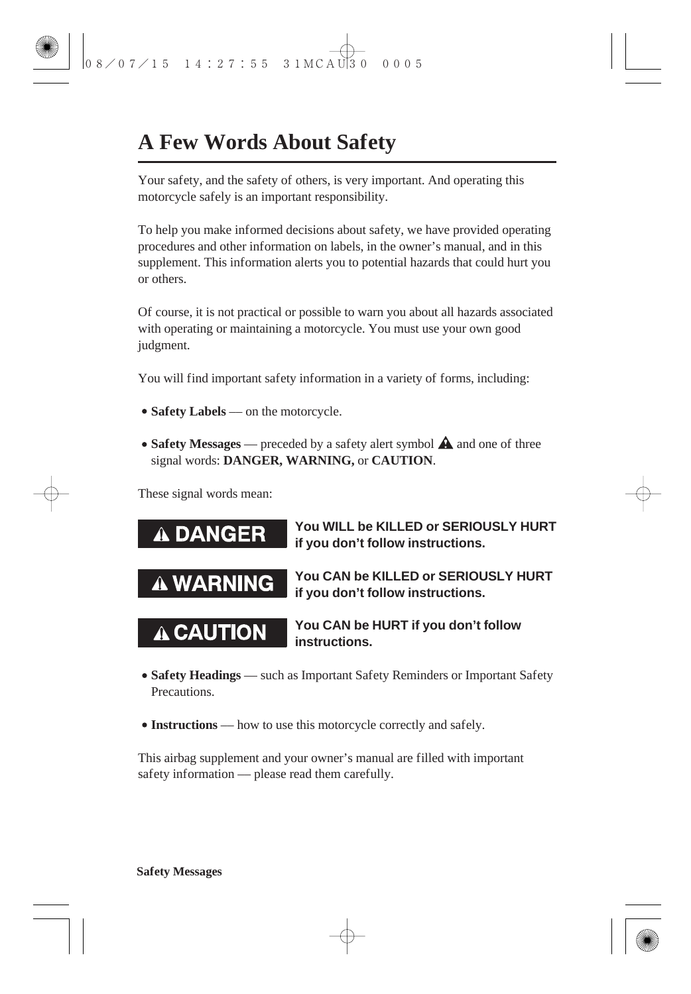## **A Few Words About Safety**

Your safety, and the safety of others, is very important. And operating this motorcycle safely is an important responsibility.

To help you make informed decisions about safety, we have provided operating procedures and other information on labels, in the owner's manual, and in this supplement. This information alerts you to potential hazards that could hurt you or others.

Of course, it is not practical or possible to warn you about all hazards associated with operating or maintaining a motorcycle. You must use your own good judgment.

You will find important safety information in a variety of forms, including:

- **Safety Labels** on the motorcycle.
- **Safety Messages** preceded by a safety alert symbol  $\triangle$  and one of three signal words: DANGER, WARNING, or CAUTION.

These signal words mean:



- Safety Headings such as Important Safety Reminders or Important Safety **Precautions**
- **Instructions** –– how to use this motorcycle correctly and safely.

This airbag supplement and your owner's manual are filled with important safety information — please read them carefully.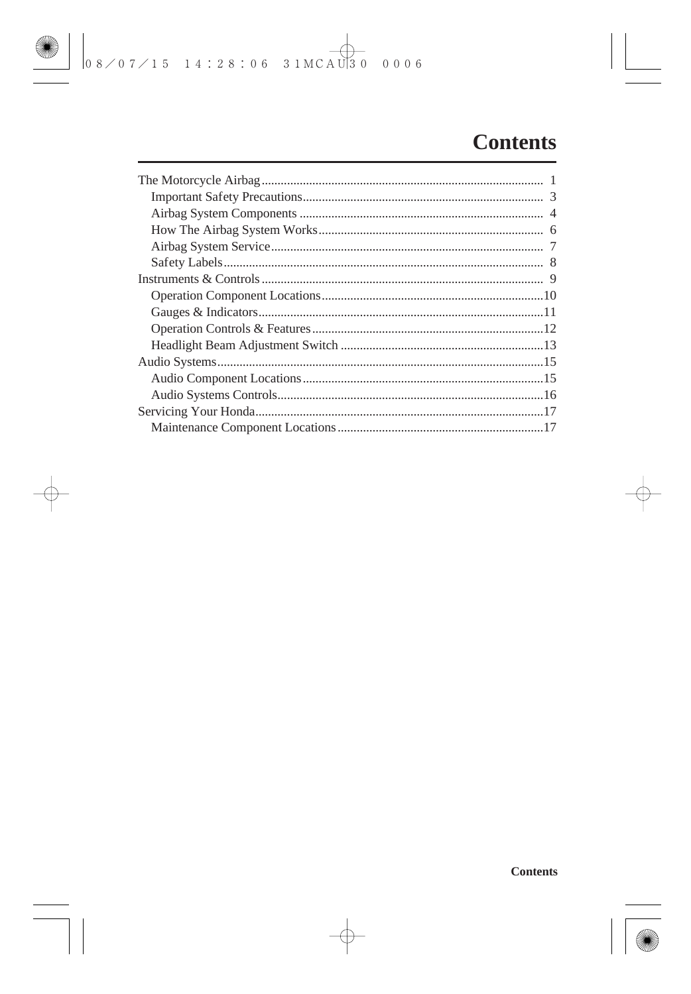### **Contents**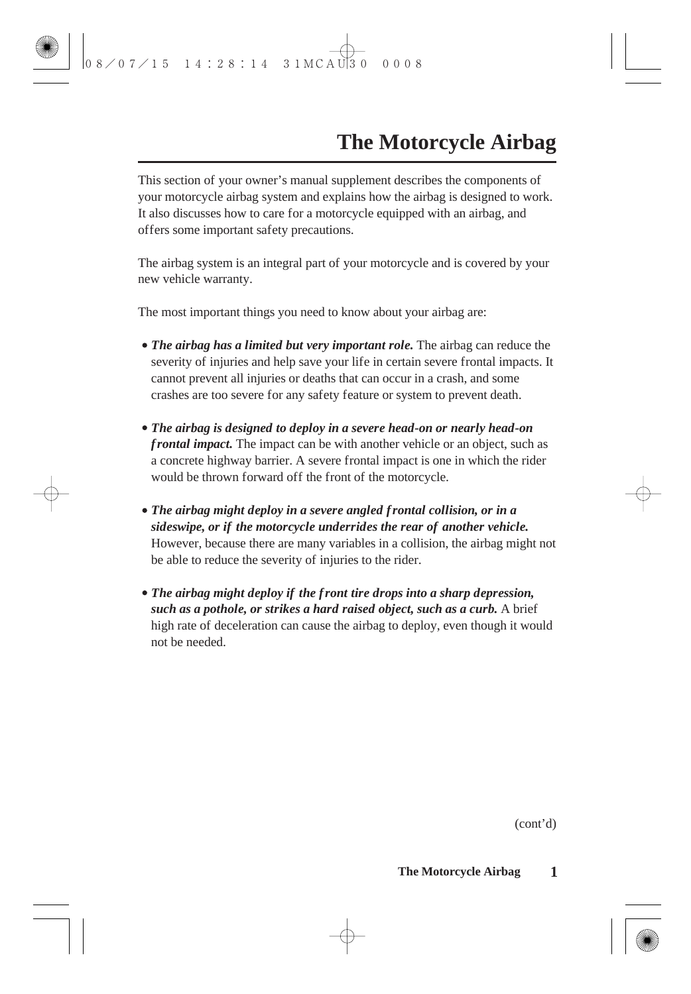This section of your owner's manual supplement describes the components of your motorcycle airbag system and explains how the airbag is designed to work. It also discusses how to care for a motorcycle equipped with an airbag, and offers some important safety precautions.

The airbag system is an integral part of your motorcycle and is covered by your new vehicle warranty.

The most important things you need to know about your airbag are:

- *The airbag has a limited but very important role.* The airbag can reduce the severity of injuries and help save your life in certain severe frontal impacts. It cannot prevent all injuries or deaths that can occur in a crash, and some crashes are too severe for any safety feature or system to prevent death.
- *The airbag is designed to deploy in a severe head-on or nearly head-on frontal impact.* The impact can be with another vehicle or an object, such as a concrete highway barrier. A severe frontal impact is one in which the rider would be thrown forward off the front of the motorcycle.
- *The airbag might deploy in a severe angled frontal collision, or in a sideswipe, or if the motorcycle underrides the rear of another vehicle.* However, because there are many variables in a collision, the airbag might not be able to reduce the severity of injuries to the rider.
- *The airbag might deploy if the front tire drops into a sharp depression, such as a pothole, or strikes a hard raised object, such as a curb.* A brief high rate of deceleration can cause the airbag to deploy, even though it would not be needed.

(cont'd)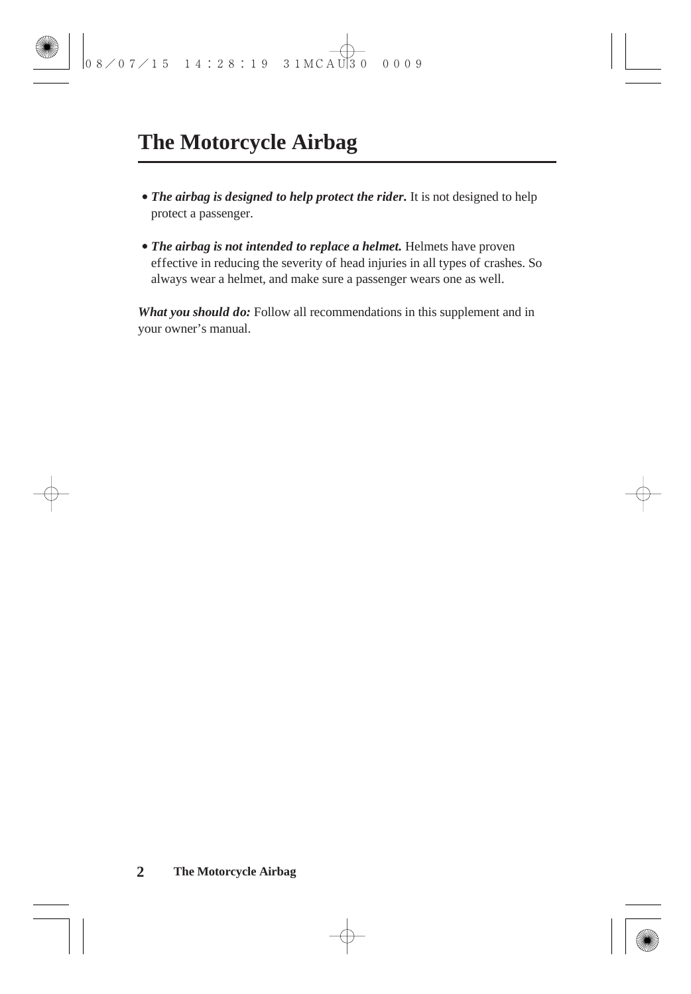- *The airbag is designed to help protect the rider.* It is not designed to help protect a passenger.
- *The airbag is not intended to replace a helmet.* Helmets have proven effective in reducing the severity of head injuries in all types of crashes. So always wear a helmet, and make sure a passenger wears one as well.

*What you should do:* Follow all recommendations in this supplement and in your owner's manual.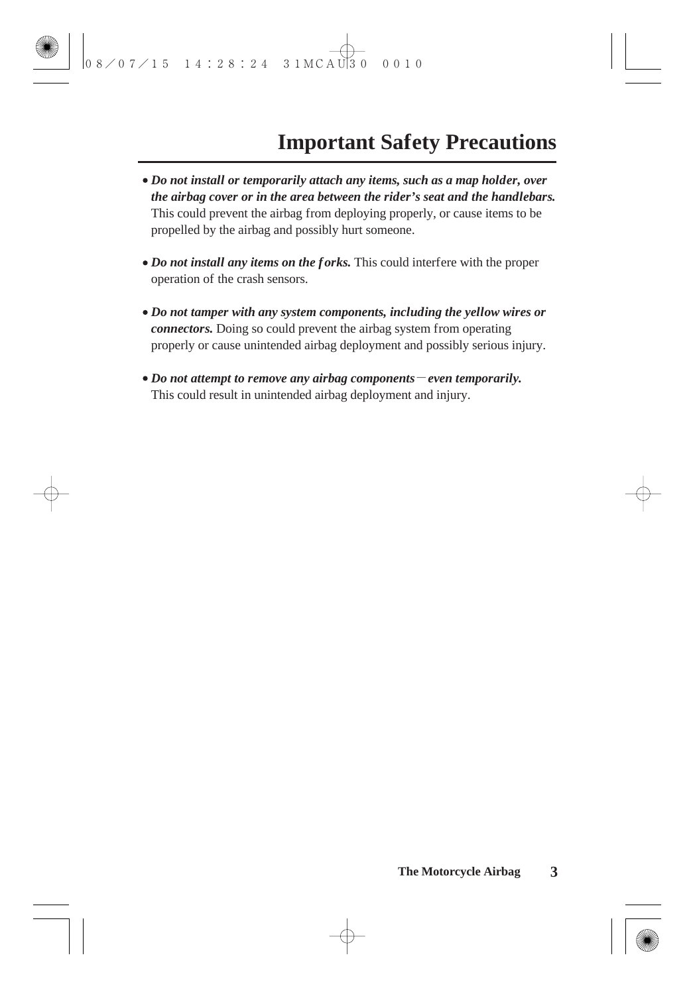- *Do not install or temporarily attach any items, such as a map holder, over the airbag cover or in the area between the rider's seat and the handlebars.* This could prevent the airbag from deploying properly, or cause items to be propelled by the airbag and possibly hurt someone.
- *Do not install any items on the forks.* This could interfere with the proper operation of the crash sensors.
- *Do not tamper with any system components, including the yellow wires or connectors.* Doing so could prevent the airbag system from operating properly or cause unintended airbag deployment and possibly serious injury.
- *Do not attempt to remove any airbag components even temporarily.* This could result in unintended airbag deployment and injury.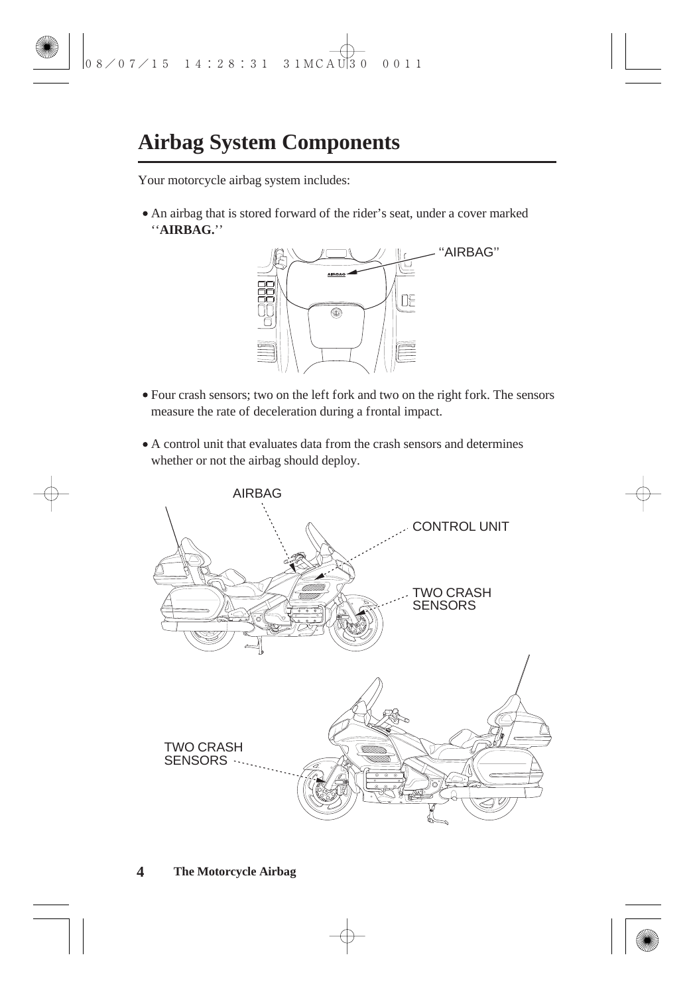### **Airbag System Components**

Your motorcycle airbag system includes:

"AIRBAG." An airbag that is stored forward of the rider's seat, under a cover marked



- Four crash sensors; two on the left fork and two on the right fork. The sensors measure the rate of deceleration during a frontal impact.
- A control unit that evaluates data from the crash sensors and determines whether or not the airbag should deploy.

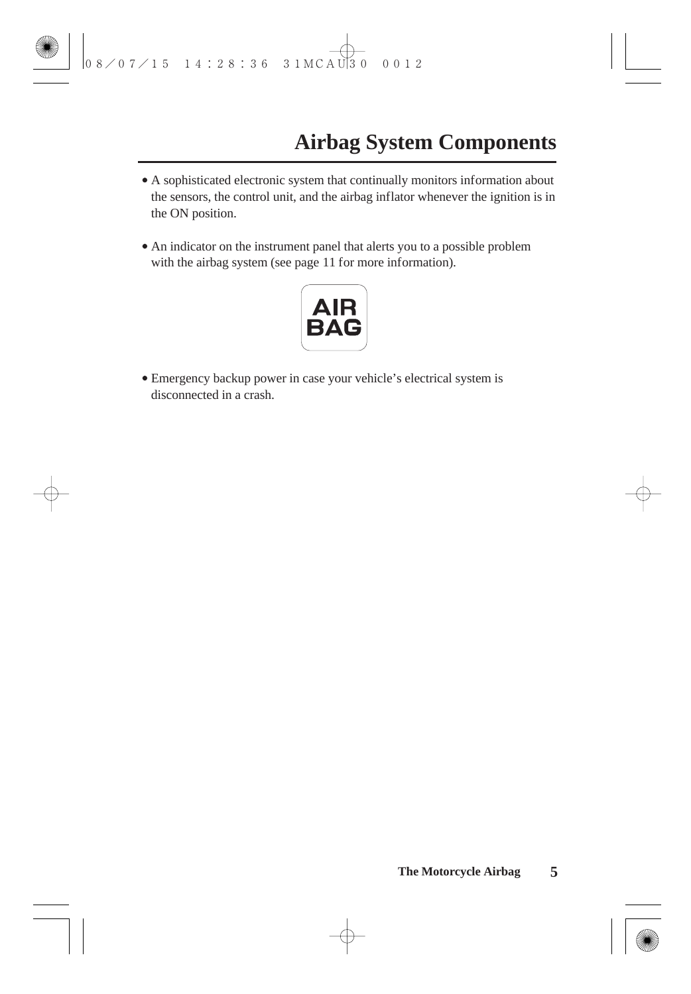- A sophisticated electronic system that continually monitors information about the sensors, the control unit, and the airbag inflator whenever the ignition is in the ON position.
- An indicator on the instrument panel that alerts you to a possible problem with the airbag system (see page 11 for more information).



Emergency backup power in case your vehicle's electrical system is disconnected in a crash.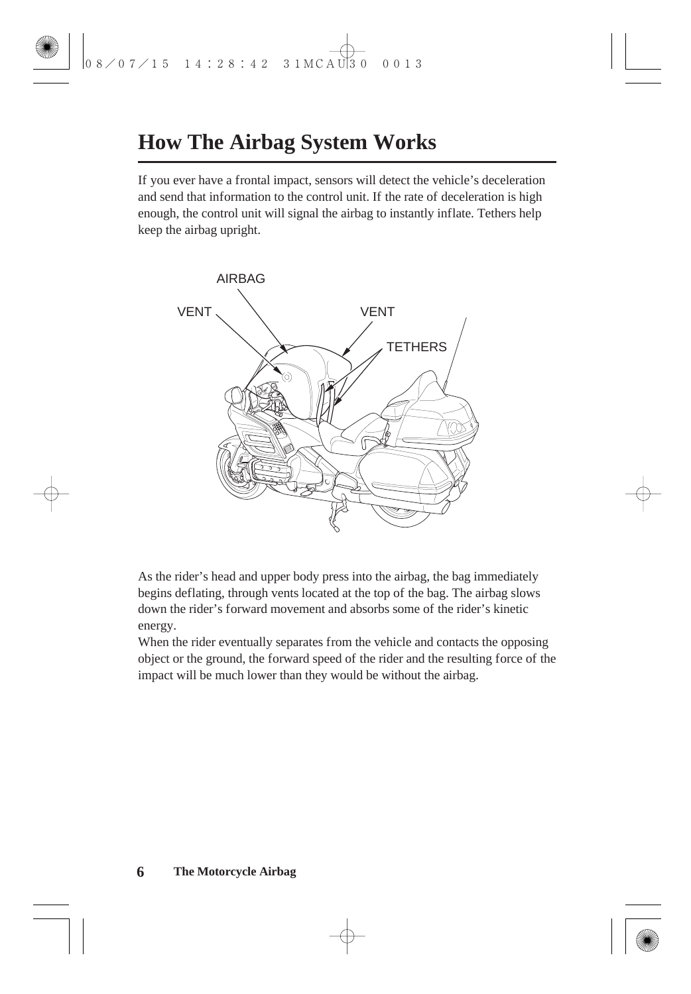### **How The Airbag System Works**

If you ever have a frontal impact, sensors will detect the vehicle's deceleration and send that information to the control unit. If the rate of deceleration is high enough, the control unit will signal the airbag to instantly inflate. Tethers help keep the airbag upright.



As the rider's head and upper body press into the airbag, the bag immediately begins deflating, through vents located at the top of the bag. The airbag slows down the rider's forward movement and absorbs some of the rider's kinetic energy.

When the rider eventually separates from the vehicle and contacts the opposing object or the ground, the forward speed of the rider and the resulting force of the impact will be much lower than they would be without the airbag.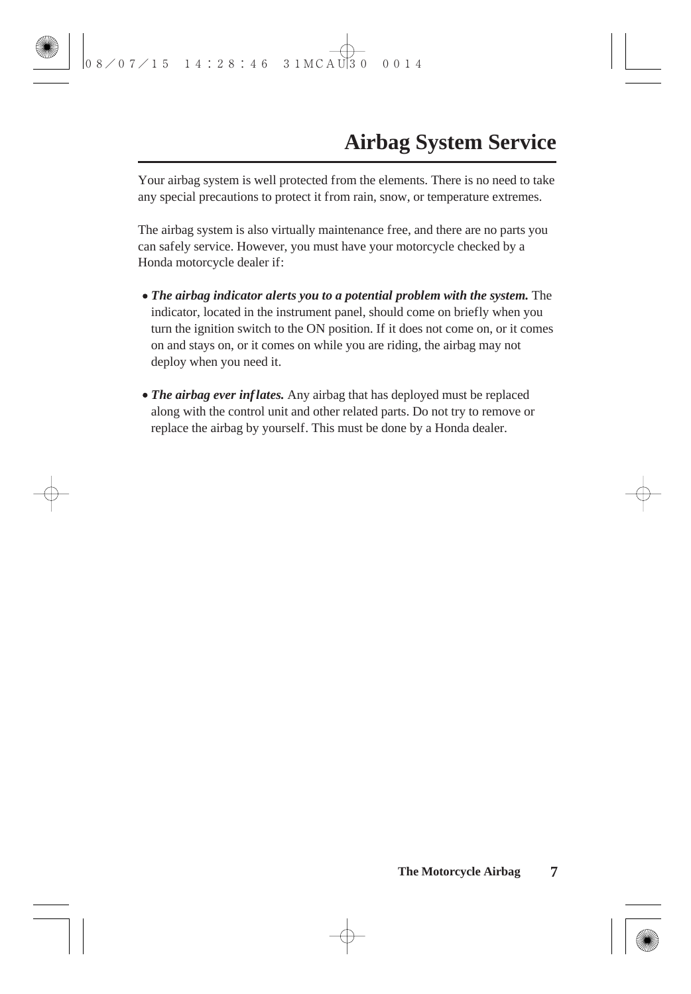Your airbag system is well protected from the elements. There is no need to take any special precautions to protect it from rain, snow, or temperature extremes.

The airbag system is also virtually maintenance free, and there are no parts you can safely service. However, you must have your motorcycle checked by a Honda motorcycle dealer if:

- *The airbag indicator alerts you to a potential problem with the system.* The indicator, located in the instrument panel, should come on briefly when you turn the ignition switch to the ON position. If it does not come on, or it comes on and stays on, or it comes on while you are riding, the airbag may not deploy when you need it.
- The airbag ever inflates. Any airbag that has deployed must be replaced along with the control unit and other related parts. Do not try to remove or replace the airbag by yourself. This must be done by a Honda dealer.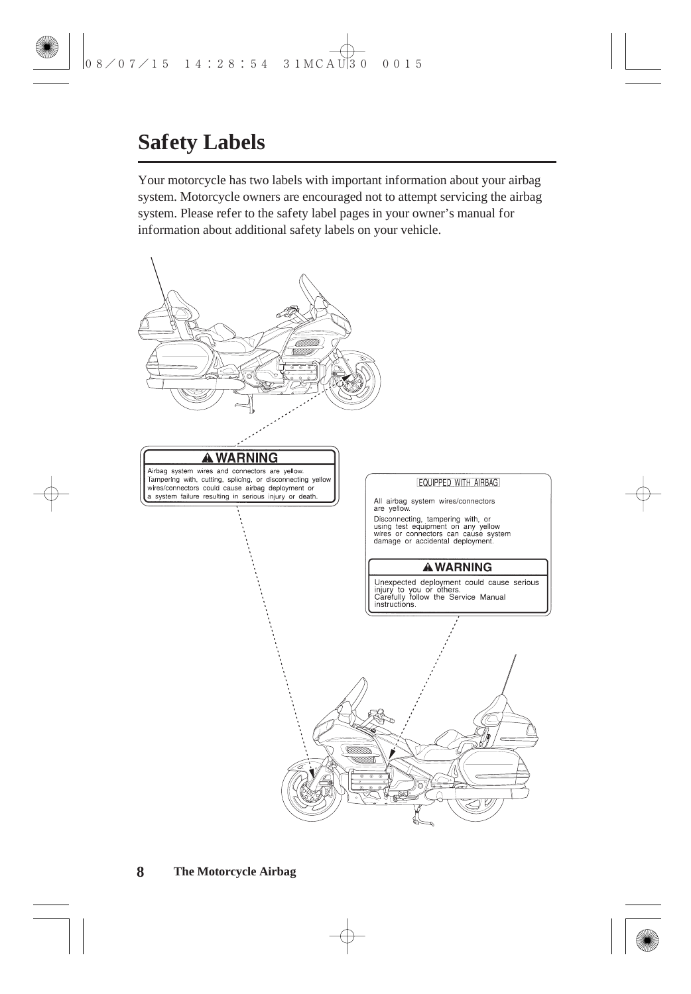### **Safety Labels**

Your motorcycle has two labels with important information about your airbag system. Motorcycle owners are encouraged not to attempt servicing the airbag system. Please refer to the safety label pages in your owner's manual for information about additional safety labels on your vehicle.

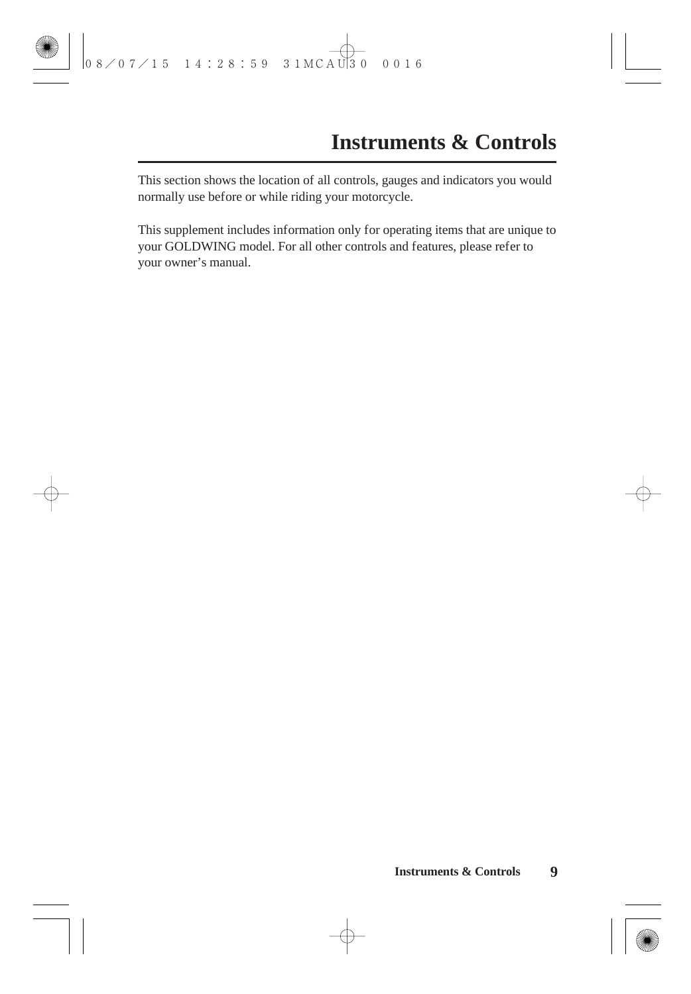This section shows the location of all controls, gauges and indicators you would normally use before or while riding your motorcycle.

This supplement includes information only for operating items that are unique to your GOLDWING model. For all other controls and features, please refer to your owner's manual.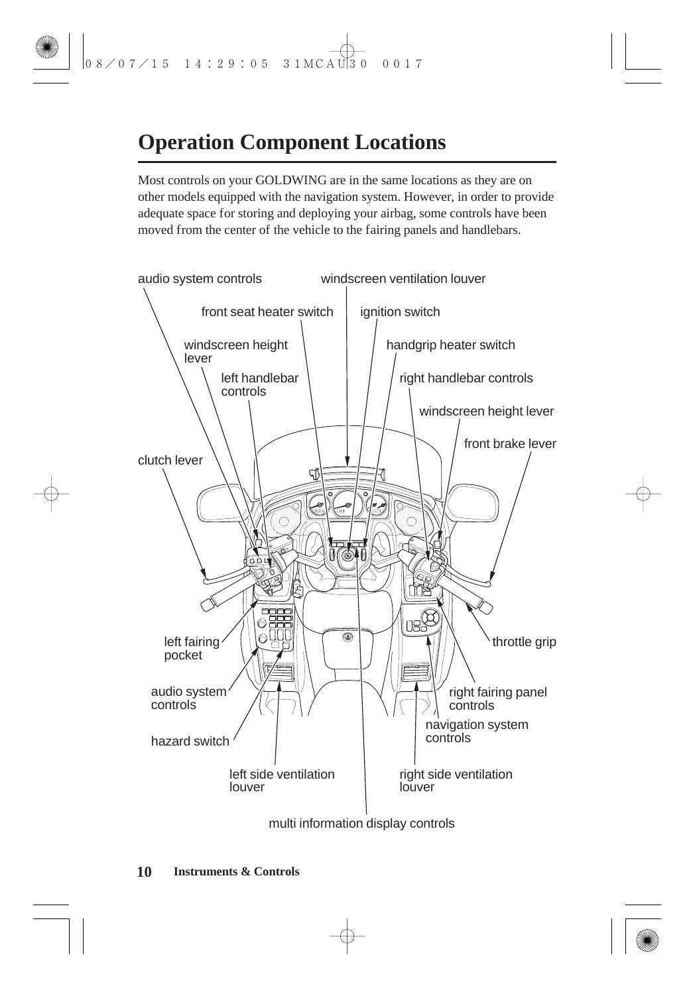# **Operation Component Locations**

Most controls on your GOLDWING are in the same locations as they are on other models equipped with the navigation system. However, in order to provide adequate space for storing and deploying your airbag, some controls have been moved from the center of the vehicle to the fairing panels and handlebars.



multi information display controls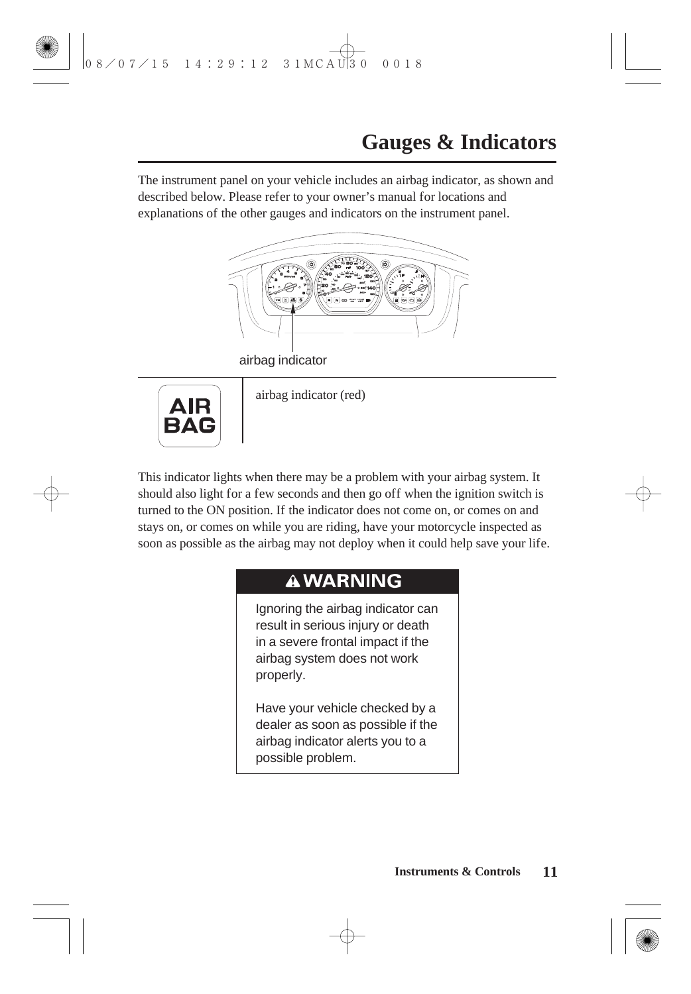The instrument panel on your vehicle includes an airbag indicator, as shown and described below. Please refer to your owner's manual for locations and explanations of the other gauges and indicators on the instrument panel.



airbag indicator



airbag indicator (red)

This indicator lights when there may be a problem with your airbag system. It should also light for a few seconds and then go off when the ignition switch is turned to the ON position. If the indicator does not come on, or comes on and stays on, or comes on while you are riding, have your motorcycle inspected as soon as possible as the airbag may not deploy when it could help save your life.

### **AWARNING**

Ignoring the airbag indicator can result in serious injury or death in a severe frontal impact if the airbag system does not work properly.

Have your vehicle checked by a dealer as soon as possible if the airbag indicator alerts you to a possible problem.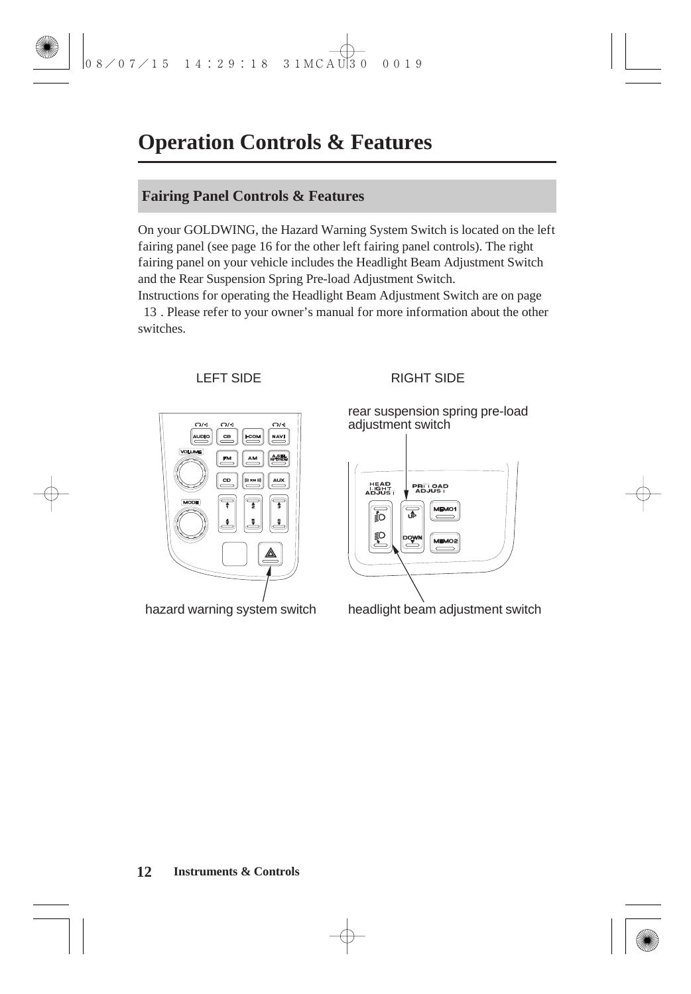### **Operation Controls & Features**

#### **Fairing Panel Controls & Features**

On your GOLDWING, the Hazard Warning System Switch is located on the left fairing panel (see page 16 for the other left fairing panel controls). The right fairing panel on your vehicle includes the Headlight Beam Adjustment Switch and the Rear Suspension Spring Pre-load Adjustment Switch.

Instructions for operating the Headlight Beam Adjustment Switch are on page . Please refer to your owner's manual for more information about the other 13 switches.



#### LEFT SIDE RIGHT SIDE

rear suspension spring pre-load adiustment switch



hazard warning system switch headlight beam adjustment switch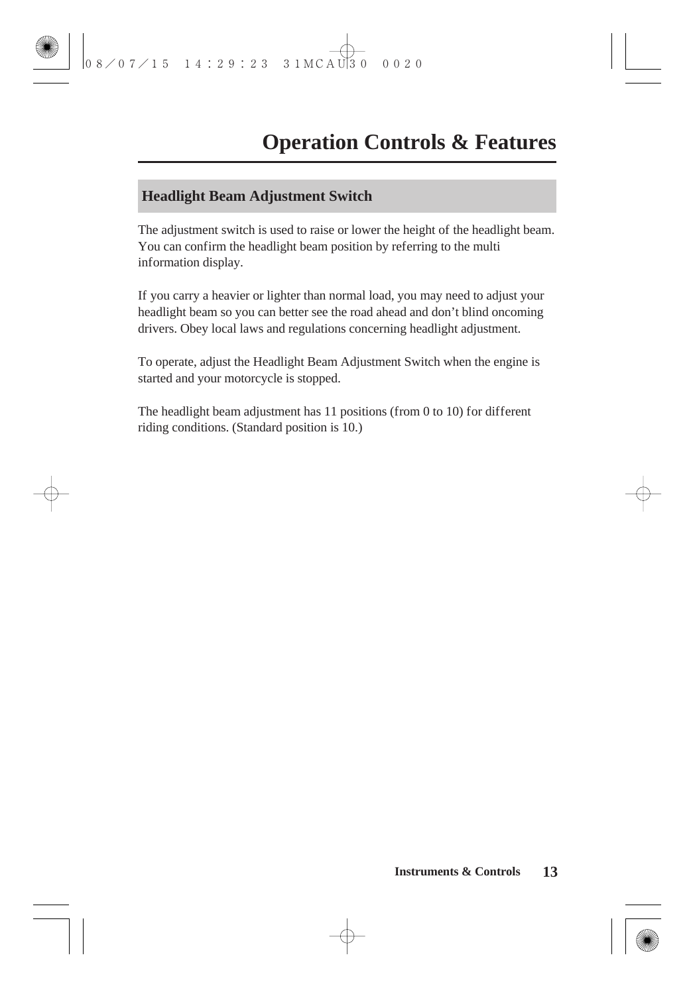#### **Headlight Beam Adjustment Switch**

The adjustment switch is used to raise or lower the height of the headlight beam. You can confirm the headlight beam position by referring to the multi information display.

If you carry a heavier or lighter than normal load, you may need to adjust your headlight beam so you can better see the road ahead and don't blind oncoming drivers. Obey local laws and regulations concerning headlight adjustment.

To operate, adjust the Headlight Beam Adjustment Switch when the engine is started and your motorcycle is stopped.

The headlight beam adjustment has 11 positions (from 0 to 10) for different riding conditions. (Standard position is 10.)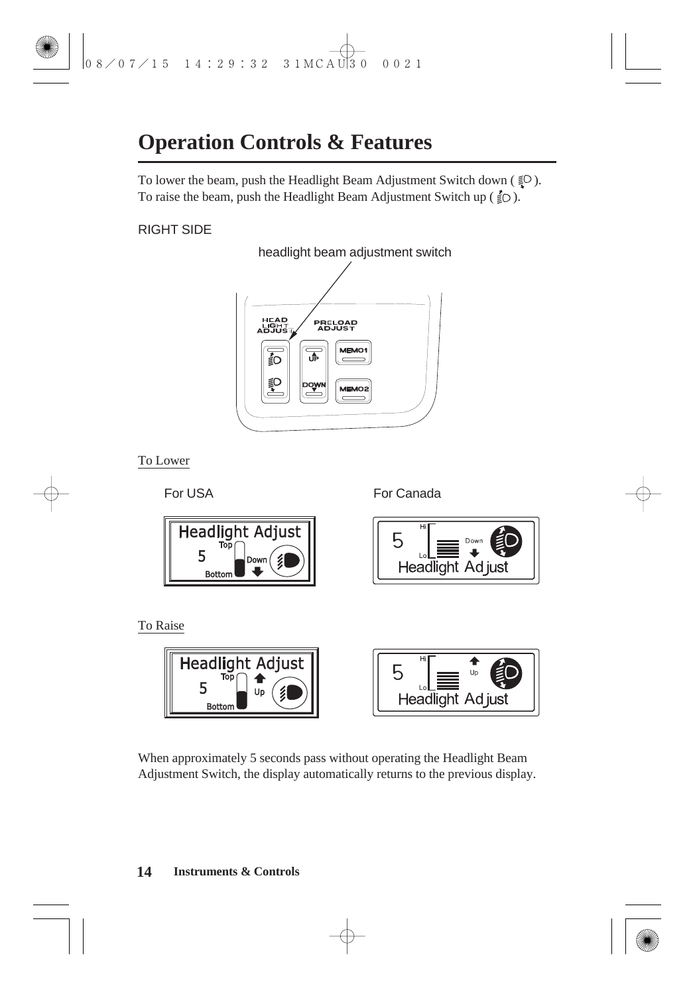### **Operation Controls & Features**

To lower the beam, push the Headlight Beam Adjustment Switch down ( $\leq 0$ ). To raise the beam, push the Headlight Beam Adjustment Switch up  $(\frac{2}{5})$ .

### RIGHT SIDE



To Lower

For USA

For Canada



To Raise



When approximately 5 seconds pass without operating the Headlight Beam Adjustment Switch, the display automatically returns to the previous display.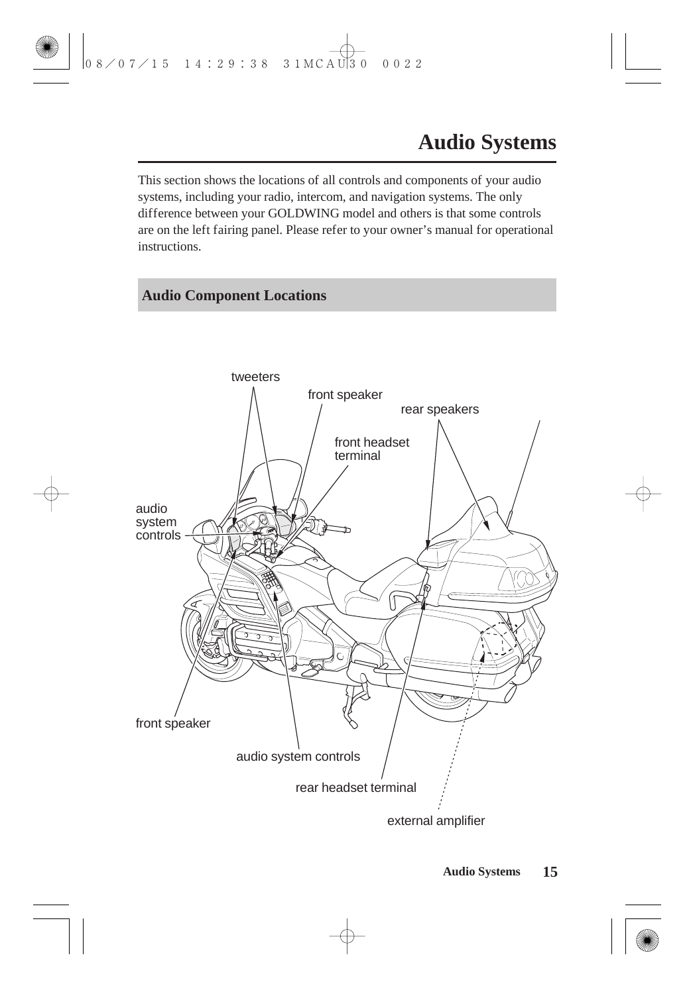This section shows the locations of all controls and components of your audio systems, including your radio, intercom, and navigation systems. The only difference between your GOLDWING model and others is that some controls are on the left fairing panel. Please refer to your owner's manual for operational instructions.

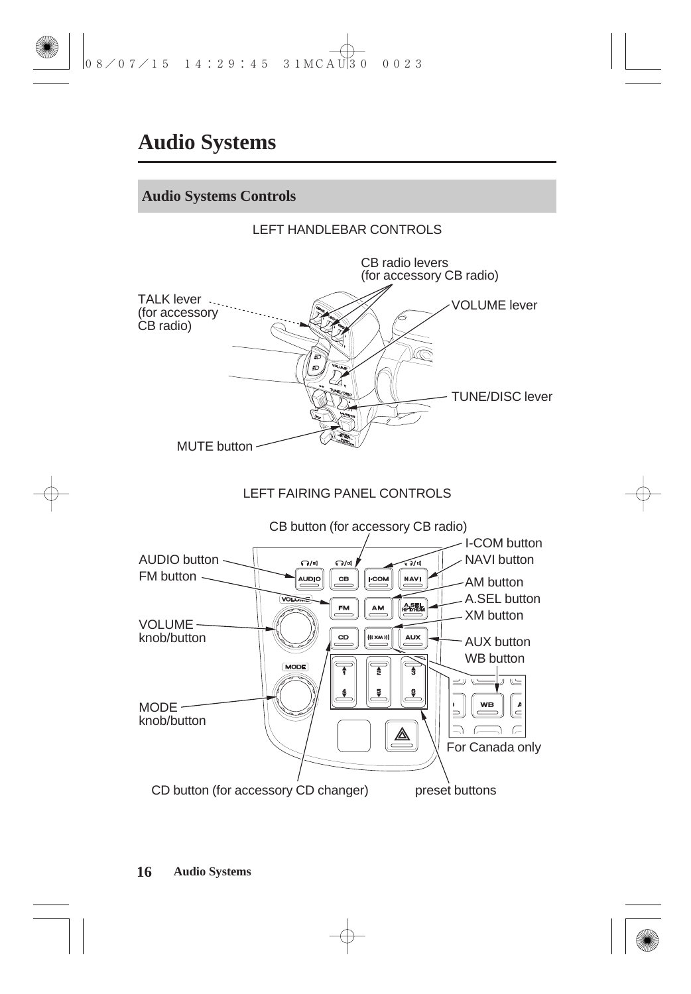### **Audio Systems**

#### **Audio Systems Controls**